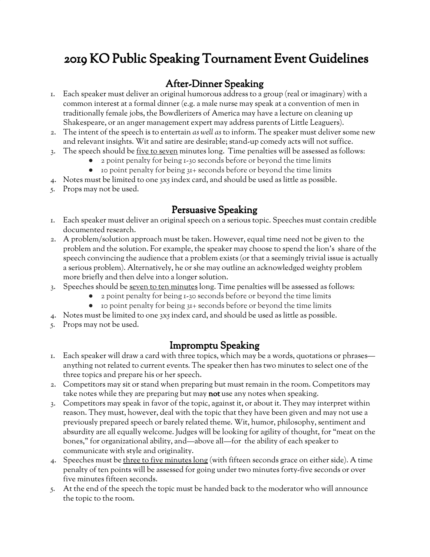# 2019 KO Public Speaking Tournament Event Guidelines

### After-Dinner Speaking

- 1. Each speaker must deliver an original humorous address to a group (real or imaginary) with a common interest at a formal dinner (e.g. a male nurse may speak at a convention of men in traditionally female jobs, the Bowdlerizers of America may have a lecture on cleaning up Shakespeare, or an anger management expert may address parents of Little Leaguers).
- 2. The intent of the speech is to entertain *as well as* to inform. The speaker must deliver some new and relevant insights. Wit and satire are desirable; stand-up comedy acts will not suffice.
- 3. The speech should be five to seven minutes long. Time penalties will be assessed as follows:
	- 2 point penalty for being 1-30 seconds before or beyond the time limits
	- 10 point penalty for being 31+ seconds before or beyond the time limits
- 4. Notes must be limited to one 3x5 index card, and should be used as little as possible.
- 5. Props may not be used.

#### Persuasive Speaking

- 1. Each speaker must deliver an original speech on a serious topic. Speeches must contain credible documented research.
- 2. A problem/solution approach must be taken. However, equal time need not be given to the problem and the solution. For example, the speaker may choose to spend the lion's share of the speech convincing the audience that a problem exists (or that a seemingly trivial issue is actually a serious problem). Alternatively, he or she may outline an acknowledged weighty problem more briefly and then delve into a longer solution.
- 3. Speeches should be seven to ten minutes long. Time penalties will be assessed as follows:
	- 2 point penalty for being 1-30 seconds before or beyond the time limits
		- 10 point penalty for being 31+ seconds before or beyond the time limits
- 4. Notes must be limited to one 3x5 index card, and should be used as little as possible.
- 5. Props may not be used.

## Impromptu Speaking

- 1. Each speaker will draw a card with three topics, which may be a words, quotations or phrases anything not related to current events. The speaker then has two minutes to select one of the three topics and prepare his or her speech.
- 2. Competitors may sit or stand when preparing but must remain in the room. Competitors may take notes while they are preparing but may not use any notes when speaking.
- 3. Competitors may speak in favor of the topic, against it, or about it. They may interpret within reason. They must, however, deal with the topic that they have been given and may not use a previously prepared speech or barely related theme. Wit, humor, philosophy, sentiment and absurdity are all equally welcome. Judges will be looking for agility of thought, for "meat on the bones," for organizational ability, and—above all—for the ability of each speaker to communicate with style and originality.
- 4. Speeches must be three to five minutes long (with fifteen seconds grace on either side). A time penalty of ten points will be assessed for going under two minutes forty-five seconds or over five minutes fifteen seconds.
- 5. At the end of the speech the topic must be handed back to the moderator who will announce the topic to the room.